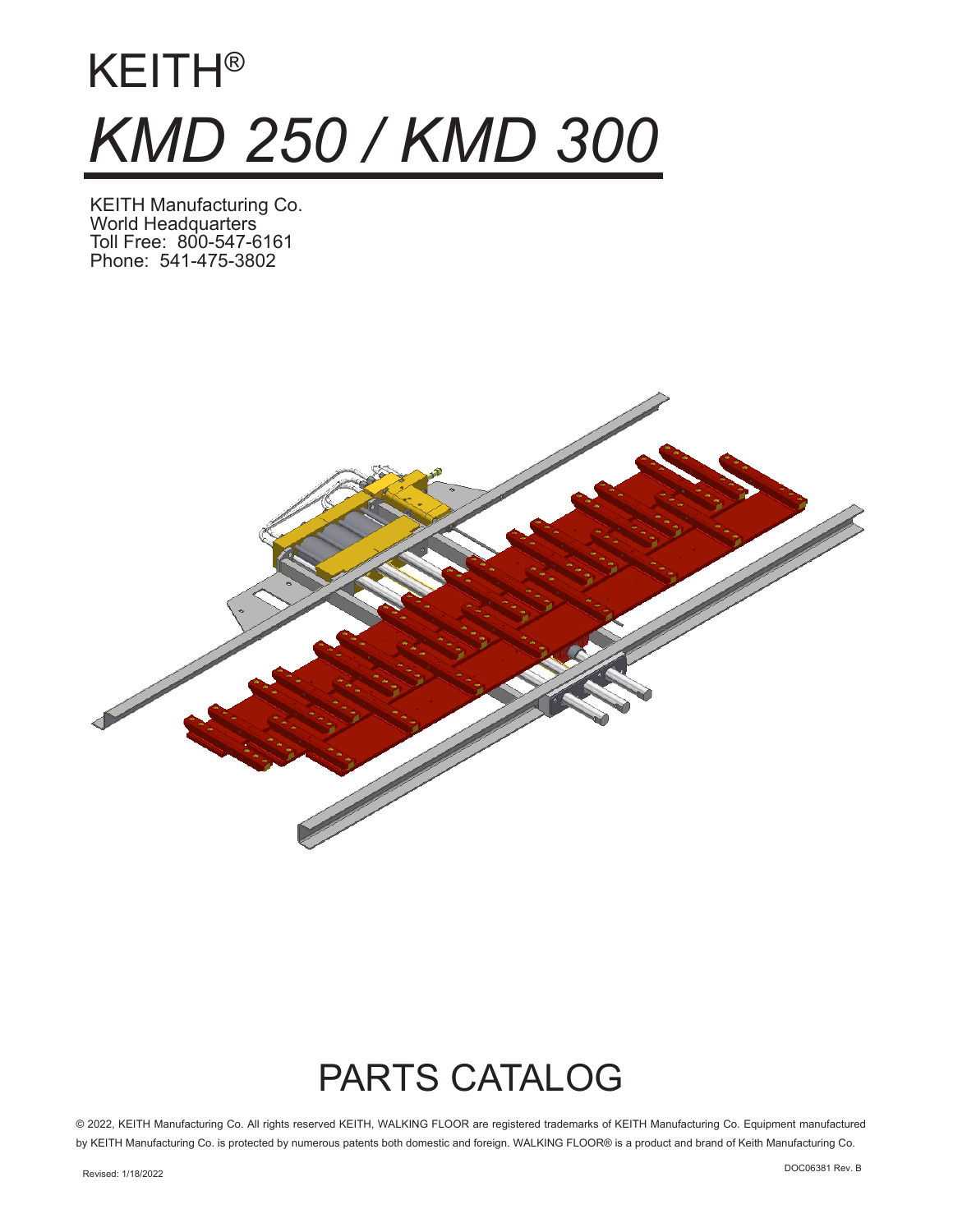

KEITH Manufacturing Co. World Headquarters Toll Free: 800-547-6161 Phone: 541-475-3802



# PARTS CATALOG

© 2022, KEITH Manufacturing Co. All rights reserved KEITH, WALKING FLOOR are registered trademarks of KEITH Manufacturing Co. Equipment manufactured by KEITH Manufacturing Co. is protected by numerous patents both domestic and foreign. WALKING FLOOR® is a product and brand of Keith Manufacturing Co.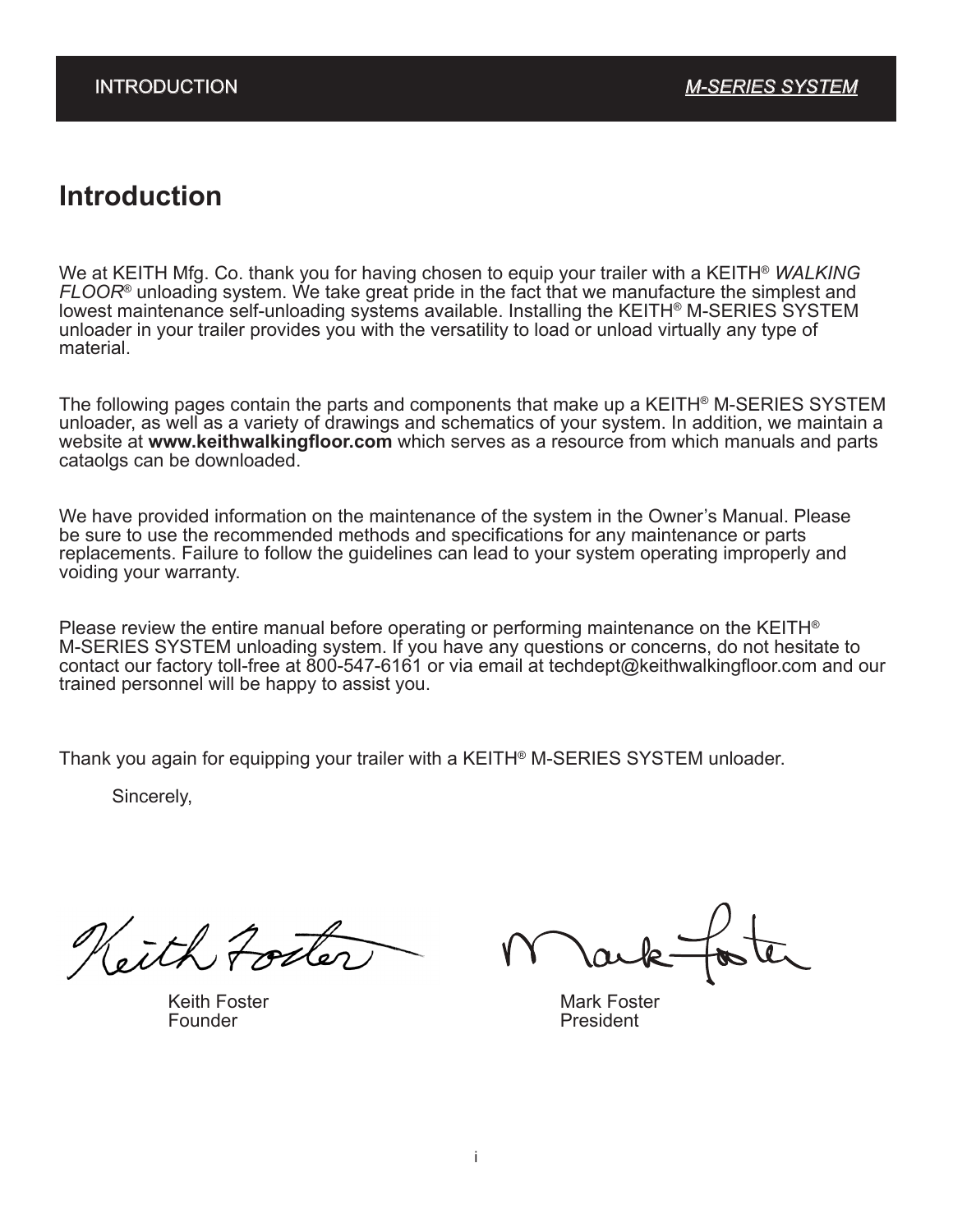### **Introduction**

We at KEITH Mfg. Co. thank you for having chosen to equip your trailer with a KEITH® *WALKING FLOOR*® unloading system. We take great pride in the fact that we manufacture the simplest and lowest maintenance self-unloading systems available. Installing the KEITH® M-SERIES SYSTEM unloader in your trailer provides you with the versatility to load or unload virtually any type of material.

The following pages contain the parts and components that make up a KEITH® M-SERIES SYSTEM unloader, as well as a variety of drawings and schematics of your system. In addition, we maintain a website at **www.keithwalkingfloor.com** which serves as a resource from which manuals and parts cataolgs can be downloaded.

We have provided information on the maintenance of the system in the Owner's Manual. Please be sure to use the recommended methods and specifications for any maintenance or parts replacements. Failure to follow the guidelines can lead to your system operating improperly and voiding your warranty.

Please review the entire manual before operating or performing maintenance on the KEITH<sup>®</sup> M-SERIES SYSTEM unloading system. If you have any questions or concerns, do not hesitate to contact our factory toll-free at 800-547-6161 or via email at techdept@keithwalkingfloor.com and our trained personnel will be happy to assist you.

Thank you again for equipping your trailer with a KEITH® M-SERIES SYSTEM unloader.

Sincerely,

Keith Foster

Keith Foster Mark Foster<br>
Founder Mark Foster<br>
Fresident

President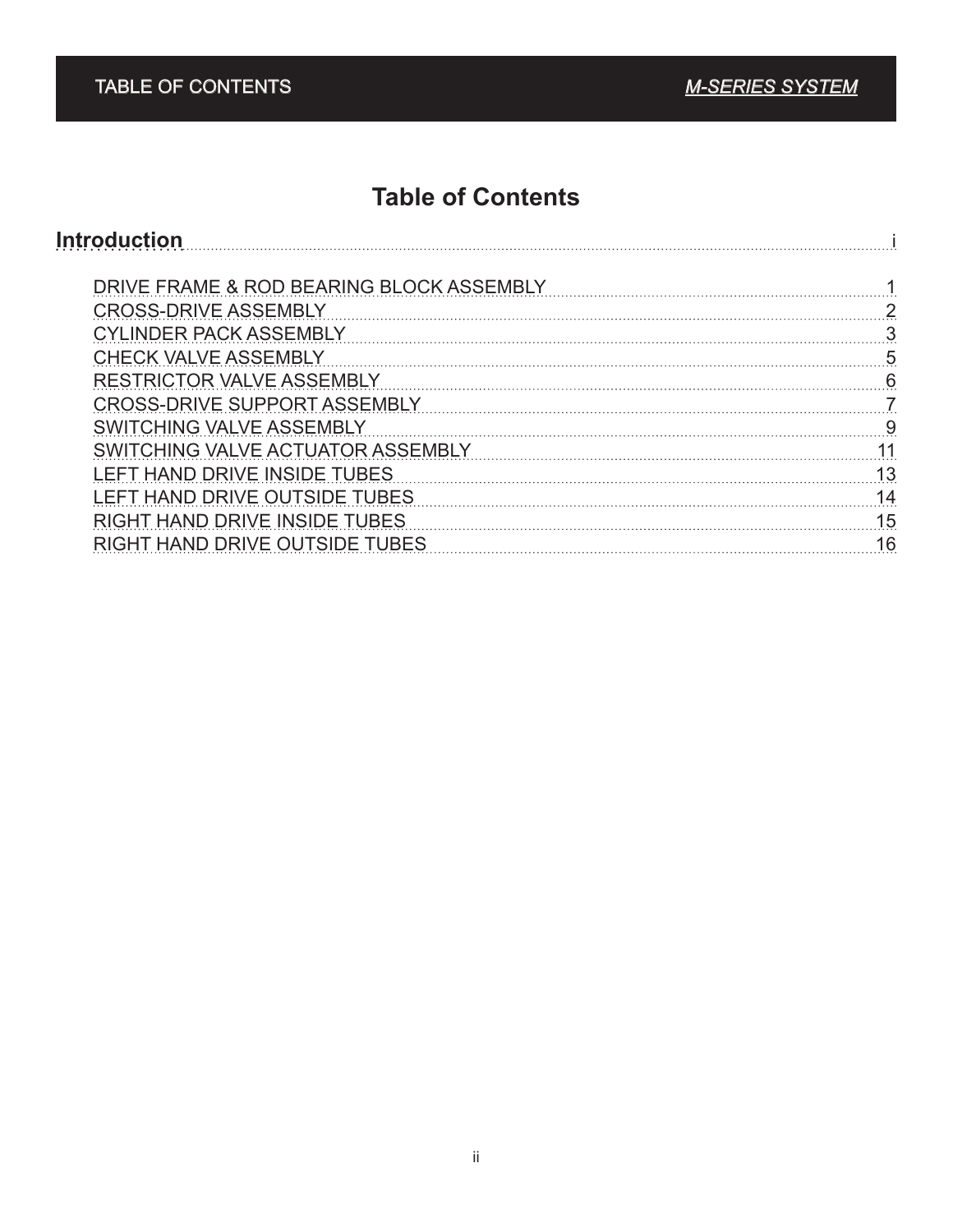### **Table of Contents**

| <b>Introduction</b>                      |    |
|------------------------------------------|----|
| DRIVE FRAME & ROD BEARING BLOCK ASSEMBLY |    |
| <b>CROSS-DRIVE ASSEMBLY</b>              |    |
| <b>CYLINDER PACK ASSEMBLY</b>            |    |
| <b>CHECK VALVE ASSEMBLY</b>              | 5  |
| <b>RESTRICTOR VALVE ASSEMBLY</b>         | 6  |
| <b>CROSS-DRIVE SUPPORT ASSEMBLY</b>      |    |
| <b>SWITCHING VALVE ASSEMBLY</b>          | 9  |
| SWITCHING VALVE ACTUATOR ASSEMBLY        |    |
| LEFT HAND DRIVE INSIDE TUBES             | 13 |
| LEFT HAND DRIVE OUTSIDE TUBES            | 14 |
| RIGHT HAND DRIVE INSIDE TUBES            | 15 |
| RIGHT HAND DRIVE OUTSIDE TUBES           | 16 |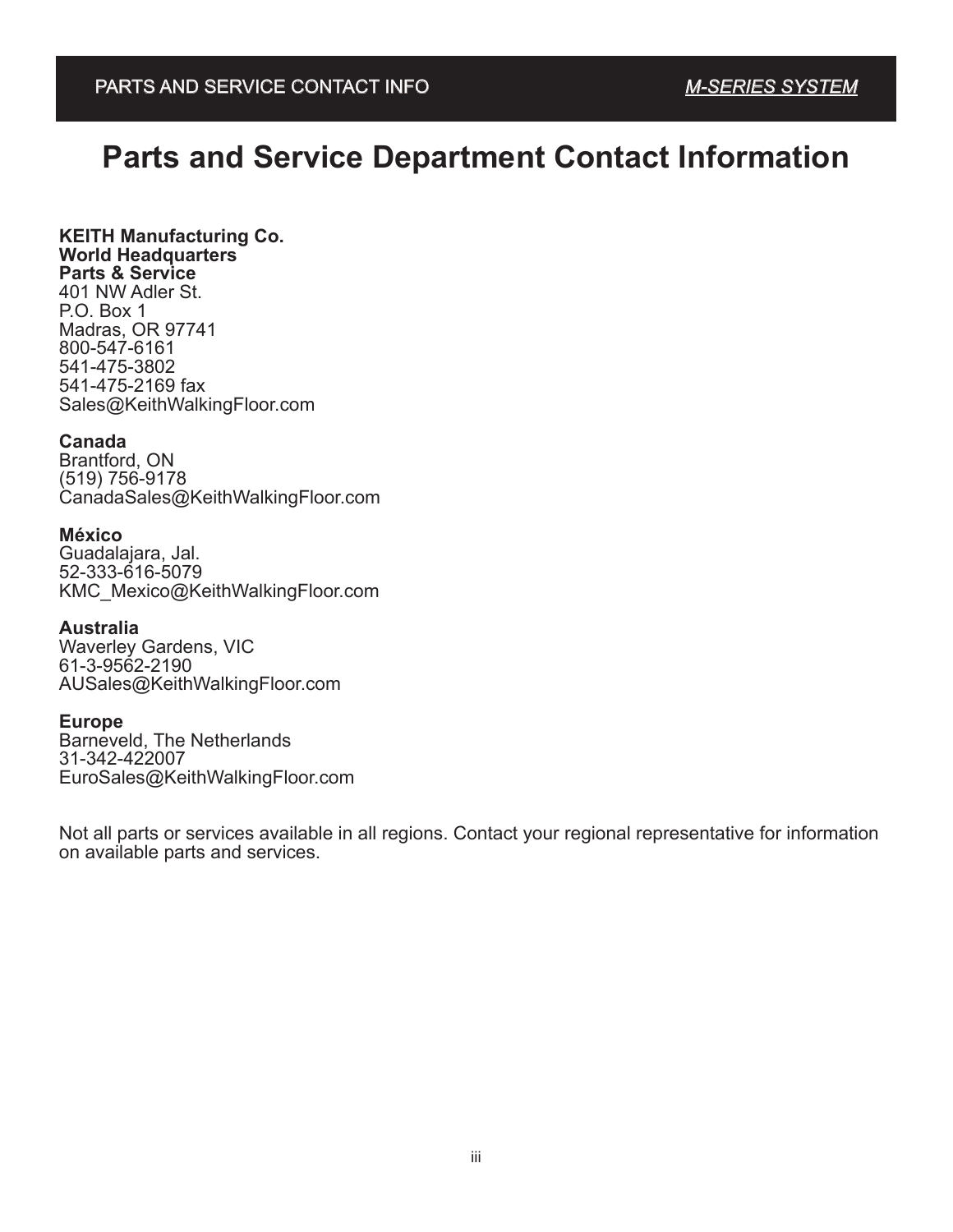## **Parts and Service Department Contact Information**

#### **KEITH Manufacturing Co. World Headquarters Parts & Service**

401 NW Adler St. P.O. Box 1 Madras, OR 97741 800-547-6161 541-475-3802 541-475-2169 fax Sales@KeithWalkingFloor.com

#### **Canada**

Brantford, ON (519) 756-9178 CanadaSales@KeithWalkingFloor.com

#### **México**

Guadalajara, Jal. 52-333-616-5079 KMC\_Mexico@KeithWalkingFloor.com

#### **Australia**

Waverley Gardens, VIC 61-3-9562-2190 AUSales@KeithWalkingFloor.com

#### **Europe**

Barneveld, The Netherlands 31-342-422007 EuroSales@KeithWalkingFloor.com

Not all parts or services available in all regions. Contact your regional representative for information on available parts and services.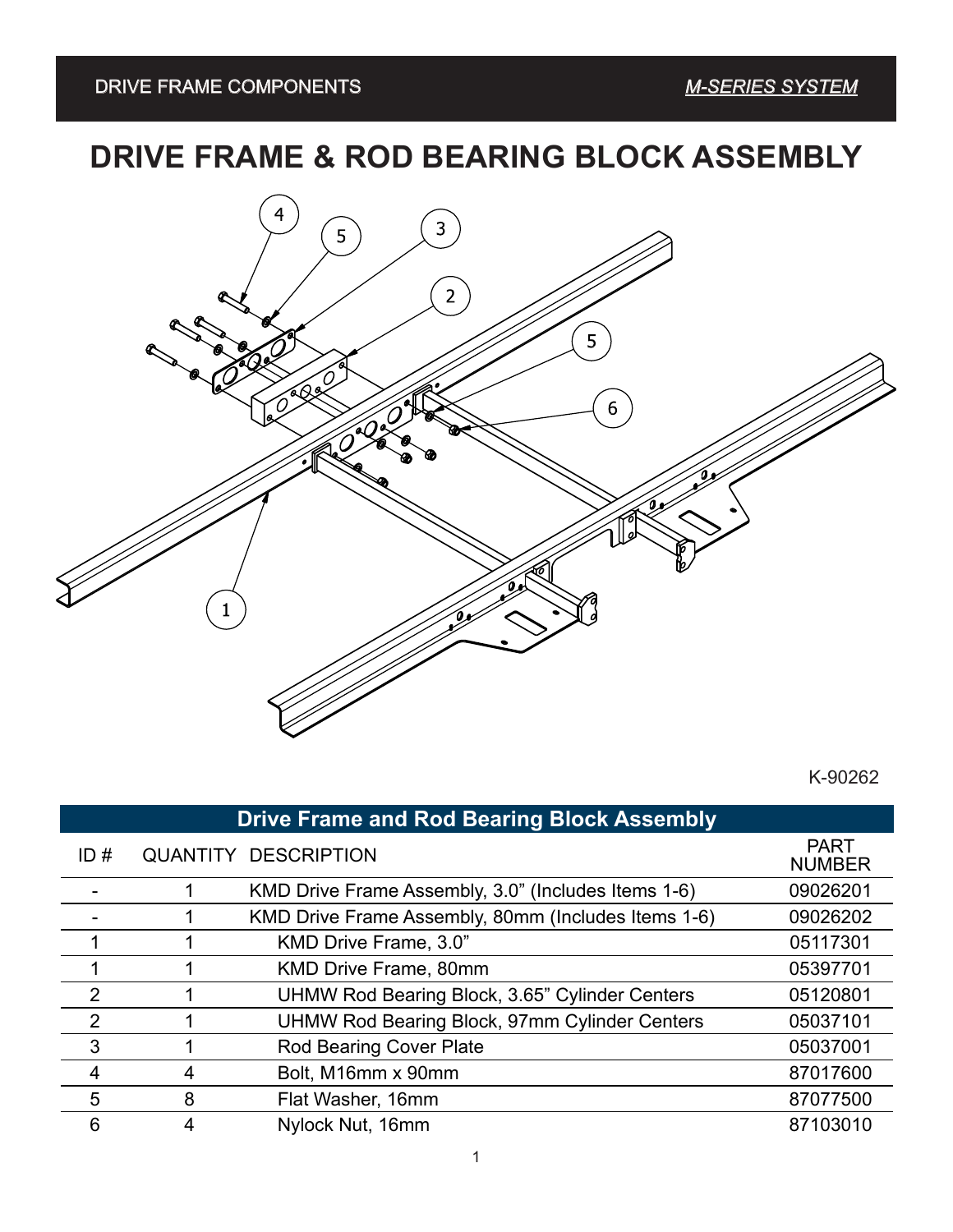## **DRIVE FRAME & ROD BEARING BLOCK ASSEMBLY**



| <b>Drive Frame and Rod Bearing Block Assembly</b> |   |                                                      |                              |
|---------------------------------------------------|---|------------------------------------------------------|------------------------------|
| ID#                                               |   | <b>QUANTITY DESCRIPTION</b>                          | <b>PART</b><br><b>NUMBER</b> |
|                                                   |   | KMD Drive Frame Assembly, 3.0" (Includes Items 1-6)  | 09026201                     |
|                                                   |   | KMD Drive Frame Assembly, 80mm (Includes Items 1-6)  | 09026202                     |
|                                                   |   | KMD Drive Frame, 3.0"                                | 05117301                     |
|                                                   |   | <b>KMD Drive Frame, 80mm</b>                         | 05397701                     |
| 2                                                 |   | UHMW Rod Bearing Block, 3.65" Cylinder Centers       | 05120801                     |
| $\overline{2}$                                    |   | <b>UHMW Rod Bearing Block, 97mm Cylinder Centers</b> | 05037101                     |
| 3                                                 |   | Rod Bearing Cover Plate                              | 05037001                     |
| 4                                                 | 4 | Bolt, M16mm x 90mm                                   | 87017600                     |
| 5                                                 | 8 | Flat Washer, 16mm                                    | 87077500                     |
| 6                                                 |   | Nylock Nut, 16mm                                     | 87103010                     |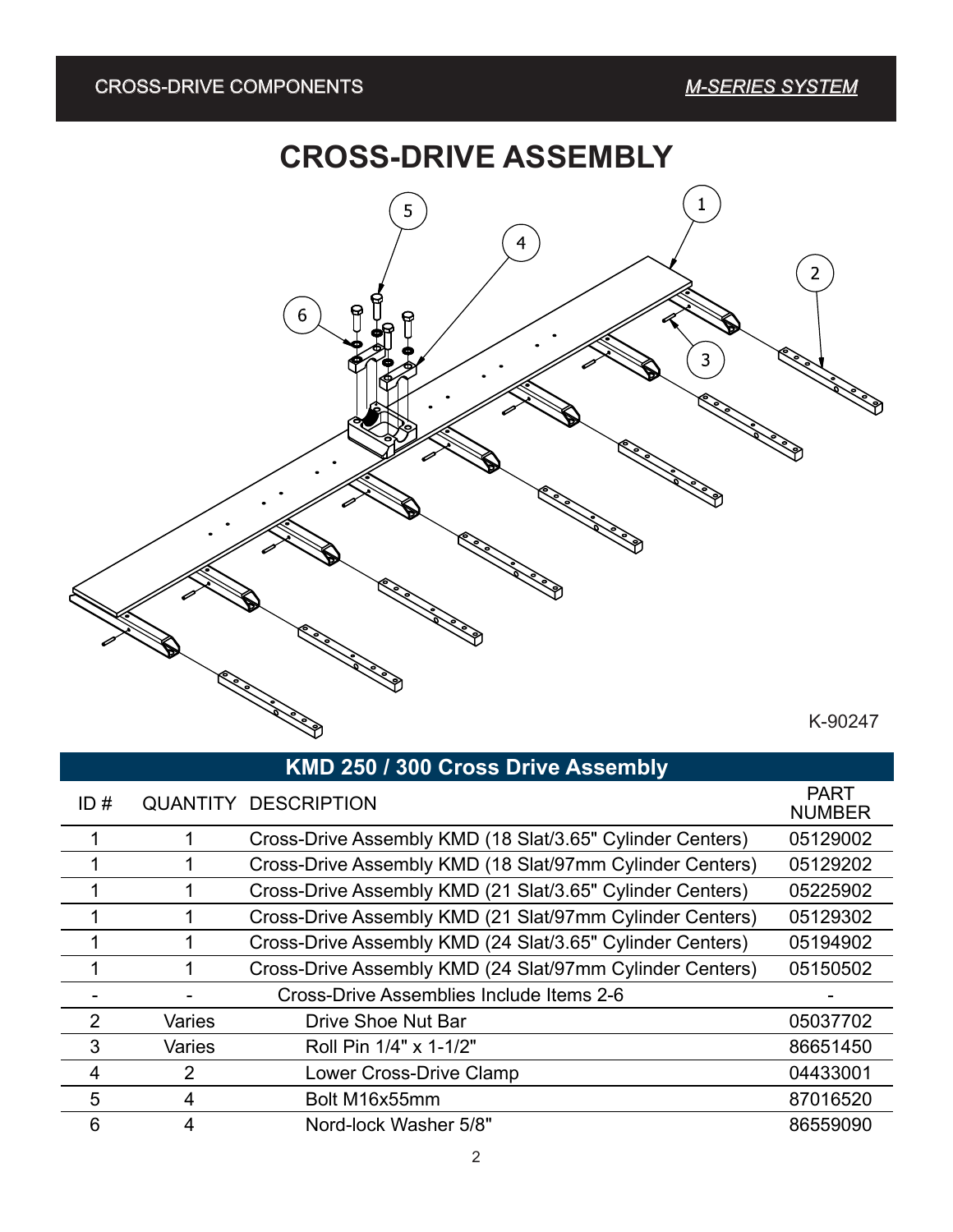

| <b>KMD 250 / 300 Cross Drive Assembly</b> |                |                                                           |                              |
|-------------------------------------------|----------------|-----------------------------------------------------------|------------------------------|
| ID#                                       |                | <b>QUANTITY DESCRIPTION</b>                               | <b>PART</b><br><b>NUMBER</b> |
|                                           |                | Cross-Drive Assembly KMD (18 Slat/3.65" Cylinder Centers) | 05129002                     |
|                                           |                | Cross-Drive Assembly KMD (18 Slat/97mm Cylinder Centers)  | 05129202                     |
|                                           |                | Cross-Drive Assembly KMD (21 Slat/3.65" Cylinder Centers) | 05225902                     |
|                                           |                | Cross-Drive Assembly KMD (21 Slat/97mm Cylinder Centers)  | 05129302                     |
|                                           |                | Cross-Drive Assembly KMD (24 Slat/3.65" Cylinder Centers) | 05194902                     |
|                                           |                | Cross-Drive Assembly KMD (24 Slat/97mm Cylinder Centers)  | 05150502                     |
|                                           |                | Cross-Drive Assemblies Include Items 2-6                  |                              |
| $\overline{2}$                            | Varies         | Drive Shoe Nut Bar                                        | 05037702                     |
| 3                                         | Varies         | Roll Pin 1/4" x 1-1/2"                                    | 86651450                     |
| 4                                         | $\overline{2}$ | Lower Cross-Drive Clamp                                   | 04433001                     |
| 5                                         | 4              | Bolt M16x55mm                                             | 87016520                     |
| 6                                         | 4              | Nord-lock Washer 5/8"                                     | 86559090                     |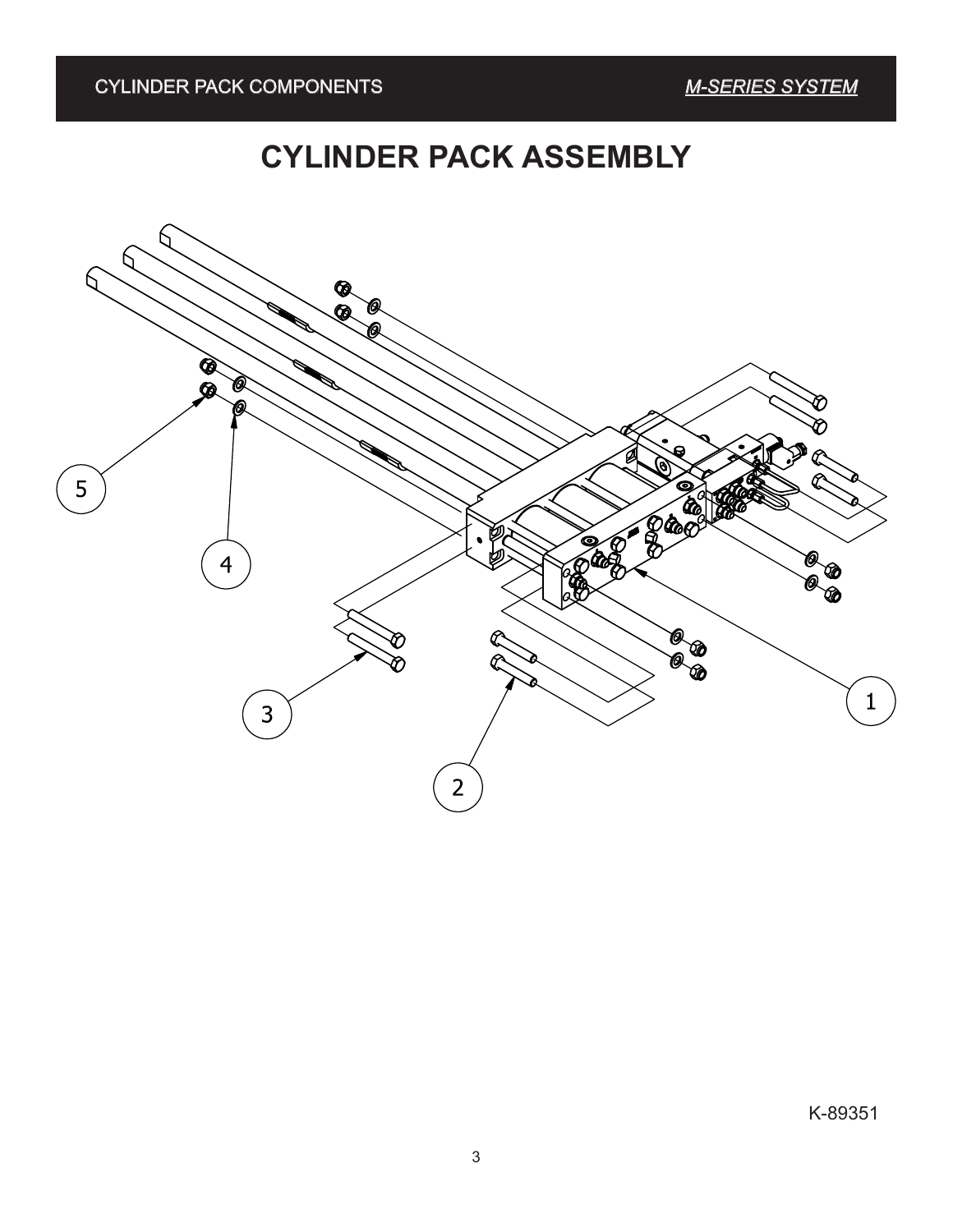*M-SERIES SYSTEM*

## **CYLINDER PACK ASSEMBLY**

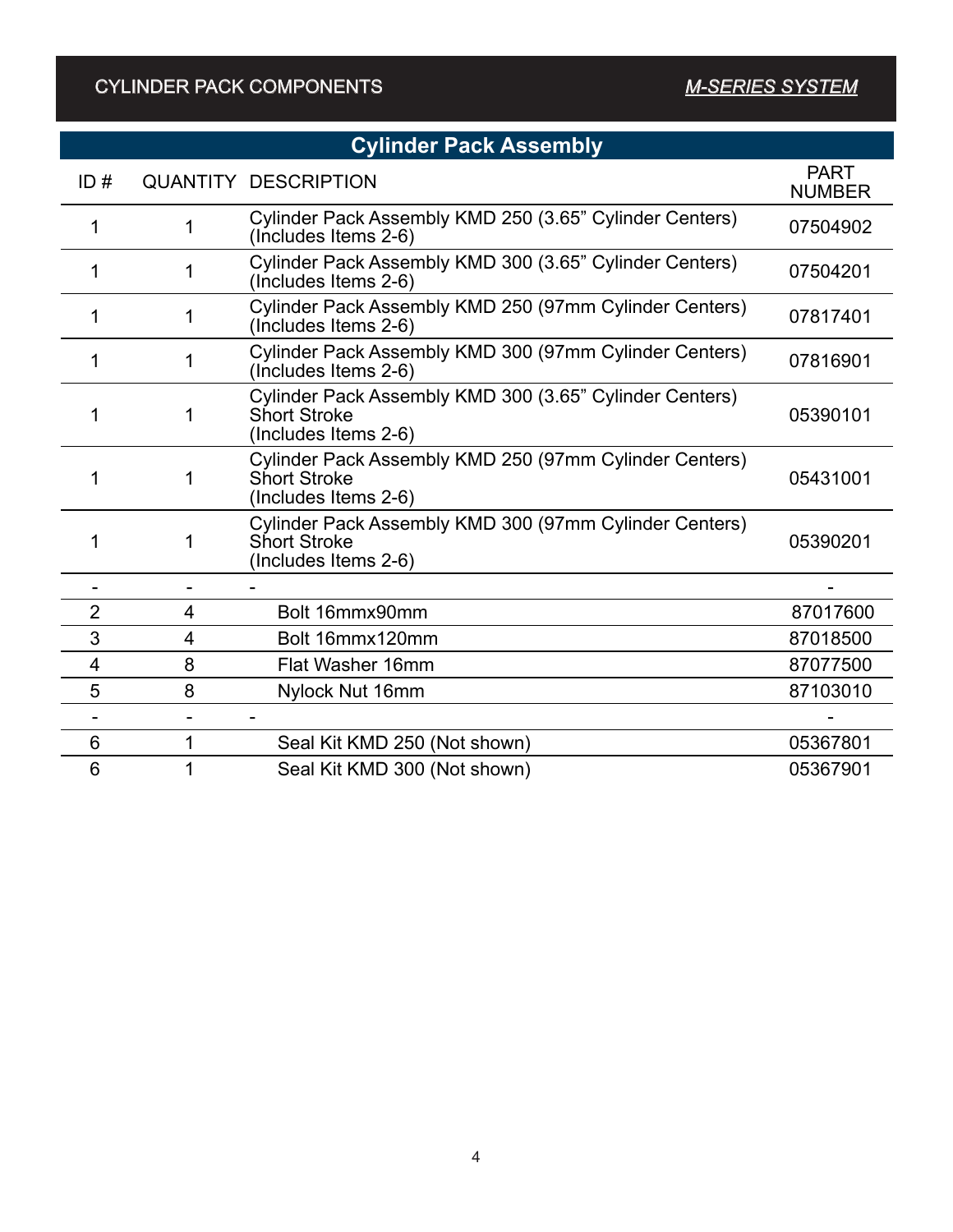#### CYLINDER PACK COMPONENTS

| <b>Cylinder Pack Assembly</b> |   |                                                                                                        |                              |
|-------------------------------|---|--------------------------------------------------------------------------------------------------------|------------------------------|
| ID#                           |   | <b>QUANTITY DESCRIPTION</b>                                                                            | <b>PART</b><br><b>NUMBER</b> |
| 1                             | 1 | Cylinder Pack Assembly KMD 250 (3.65" Cylinder Centers)<br>(Includes Items 2-6)                        | 07504902                     |
| 1                             | 1 | Cylinder Pack Assembly KMD 300 (3.65" Cylinder Centers)<br>(Includes Items 2-6)                        | 07504201                     |
| 1                             | 1 | Cylinder Pack Assembly KMD 250 (97mm Cylinder Centers)<br>(Includes Items 2-6)                         | 07817401                     |
| 1                             | 1 | Cylinder Pack Assembly KMD 300 (97mm Cylinder Centers)<br>(Includes Items 2-6)                         | 07816901                     |
| 1                             | 1 | Cylinder Pack Assembly KMD 300 (3.65" Cylinder Centers)<br><b>Short Stroke</b><br>(Includes Items 2-6) | 05390101                     |
| 1                             | 1 | Cylinder Pack Assembly KMD 250 (97mm Cylinder Centers)<br><b>Short Stroke</b><br>(Includes Items 2-6)  | 05431001                     |
| 1                             | 1 | Cylinder Pack Assembly KMD 300 (97mm Cylinder Centers)<br>Short Stroke<br>(Includes Items 2-6)         | 05390201                     |
|                               |   |                                                                                                        |                              |
| 2                             | 4 | Bolt 16mmx90mm                                                                                         | 87017600                     |
| $\mathfrak{S}$                | 4 | Bolt 16mmx120mm                                                                                        | 87018500                     |
| 4                             | 8 | Flat Washer 16mm                                                                                       | 87077500                     |
| 5                             | 8 | Nylock Nut 16mm                                                                                        | 87103010                     |
|                               |   |                                                                                                        |                              |
| 6                             | 1 | Seal Kit KMD 250 (Not shown)                                                                           | 05367801                     |
| 6                             | 1 | Seal Kit KMD 300 (Not shown)                                                                           | 05367901                     |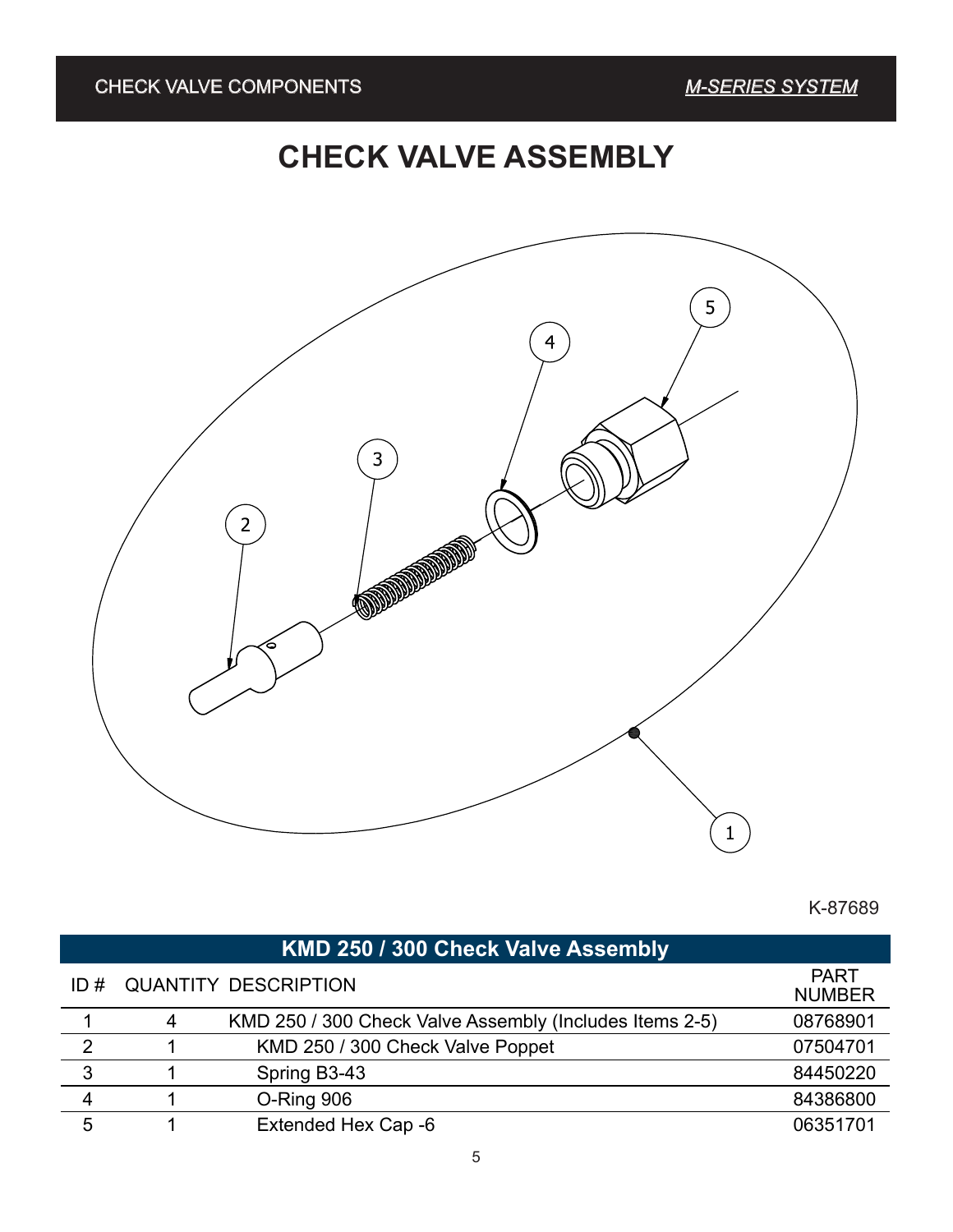# **CHECK VALVE ASSEMBLY**



| KMD 250 / 300 Check Valve Assembly |   |                                                         |                              |  |
|------------------------------------|---|---------------------------------------------------------|------------------------------|--|
| ID#                                |   | <b>QUANTITY DESCRIPTION</b>                             | <b>PART</b><br><b>NUMBER</b> |  |
|                                    | 4 | KMD 250 / 300 Check Valve Assembly (Includes Items 2-5) | 08768901                     |  |
| $\overline{2}$                     |   | KMD 250 / 300 Check Valve Poppet                        | 07504701                     |  |
| 3                                  |   | Spring B3-43                                            | 84450220                     |  |
| 4                                  |   | O-Ring 906                                              | 84386800                     |  |
| 5                                  |   | Extended Hex Cap -6                                     | 06351701                     |  |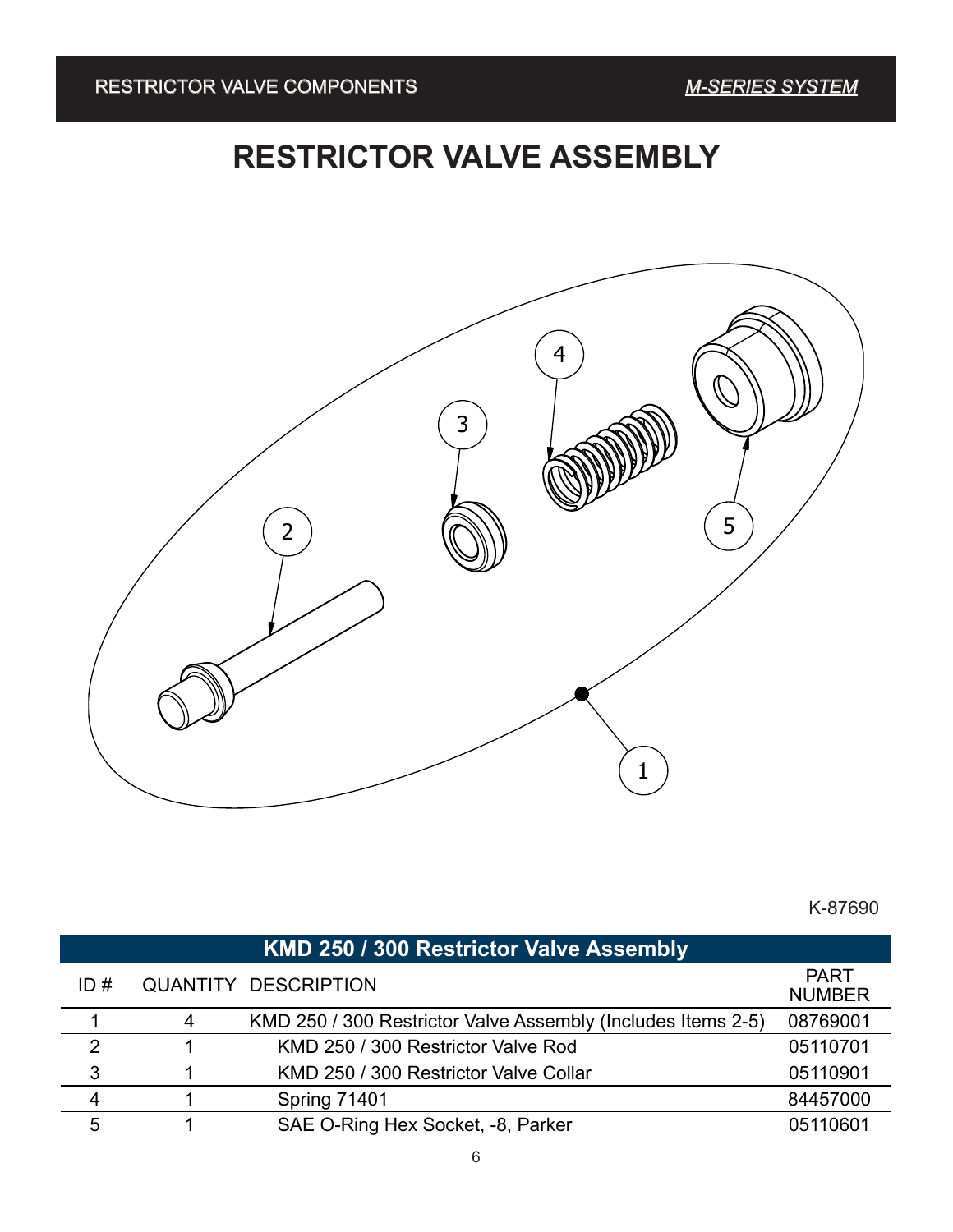RESTRICTOR VALVE COMPONENTS OR VALVE COMPONENTS<br>
SERVE COMPONENTS<br>
SERVE ASSEMBLY AND THE MODEL OF THE MODEL OF THE MODEL OF THE MODEL OF THE MODEL OF THE MODEL OF THE MODEL OF

*M-SERIES SYSTEM*

# **RESTRICTOR VALVE ASSEMBLY**



| KMD 250 / 300 Restrictor Valve Assembly |   |                                                              |                              |
|-----------------------------------------|---|--------------------------------------------------------------|------------------------------|
| ID#                                     |   | <b>QUANTITY DESCRIPTION</b>                                  | <b>PART</b><br><b>NUMBER</b> |
|                                         | 4 | KMD 250 / 300 Restrictor Valve Assembly (Includes Items 2-5) | 08769001                     |
| $\overline{2}$                          |   | KMD 250 / 300 Restrictor Valve Rod                           | 05110701                     |
| 3                                       |   | KMD 250 / 300 Restrictor Valve Collar                        | 05110901                     |
| 4                                       |   | <b>Spring 71401</b>                                          | 84457000                     |
| 5                                       |   | SAE O-Ring Hex Socket, -8, Parker                            | 05110601                     |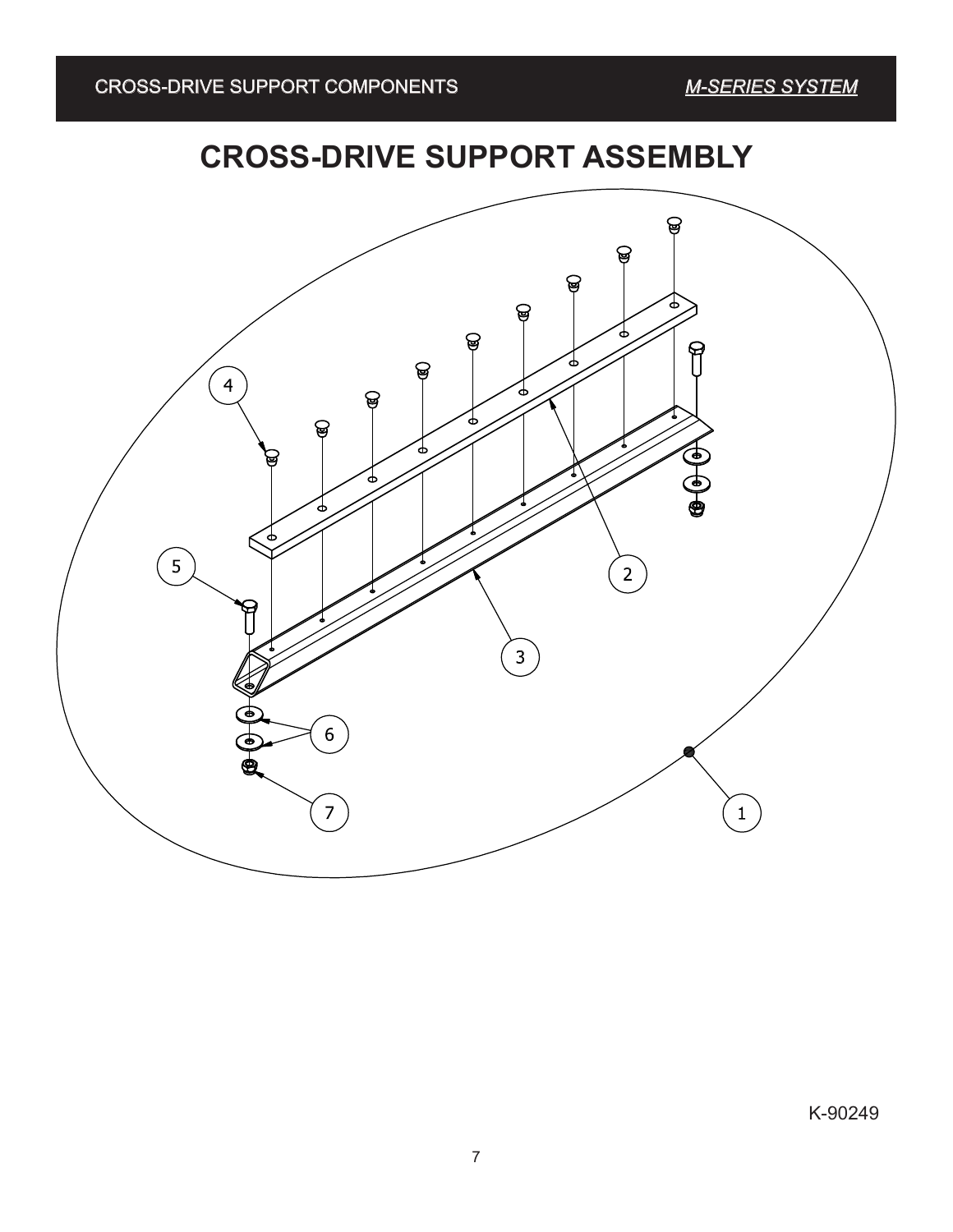## **CROSS-DRIVE SUPPORT ASSEMBLY**

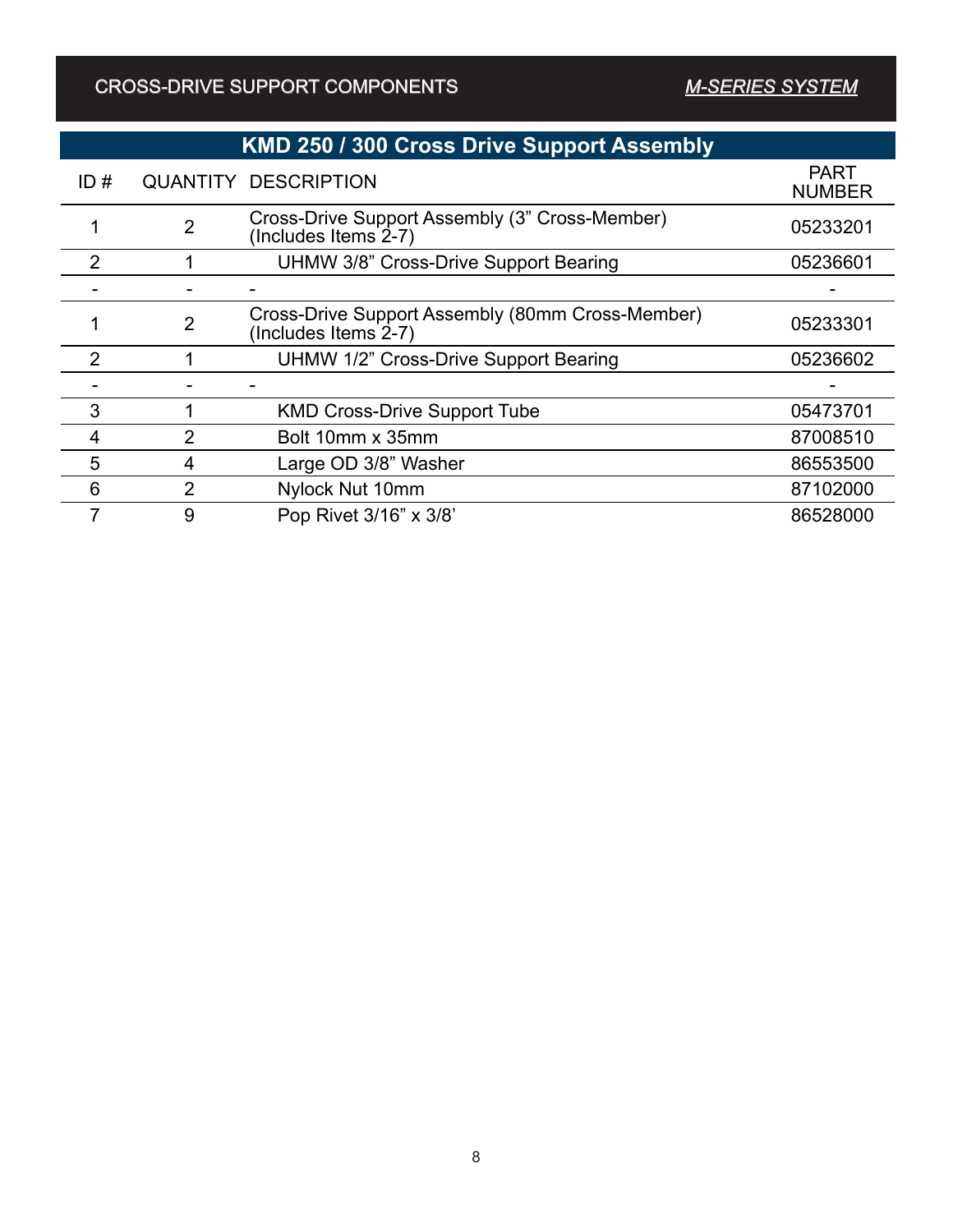#### CROSS-DRIVE SUPPORT COMPONENTS

### *M-SERIES SYSTEM*

| <b>KMD 250 / 300 Cross Drive Support Assembly</b> |                |                                                                             |                              |
|---------------------------------------------------|----------------|-----------------------------------------------------------------------------|------------------------------|
| ID#                                               |                | <b>QUANTITY DESCRIPTION</b>                                                 | <b>PART</b><br><b>NUMBER</b> |
|                                                   | 2              | Cross-Drive Support Assembly (3" Cross-Member)<br>(Includes Items $2-7$ )   | 05233201                     |
| 2                                                 |                | UHMW 3/8" Cross-Drive Support Bearing                                       | 05236601                     |
|                                                   |                |                                                                             |                              |
|                                                   | $\overline{2}$ | Cross-Drive Support Assembly (80mm Cross-Member)<br>(Includes Items $2-7$ ) | 05233301                     |
| $\overline{2}$                                    |                | <b>UHMW 1/2" Cross-Drive Support Bearing</b>                                | 05236602                     |
|                                                   |                |                                                                             |                              |
| 3                                                 |                | <b>KMD Cross-Drive Support Tube</b>                                         | 05473701                     |
| 4                                                 | 2              | Bolt 10mm x 35mm                                                            | 87008510                     |
| 5                                                 | 4              | Large OD 3/8" Washer                                                        | 86553500                     |
| 6                                                 | $\overline{2}$ | Nylock Nut 10mm                                                             | 87102000                     |
|                                                   | 9              | Pop Rivet 3/16" x 3/8"                                                      | 86528000                     |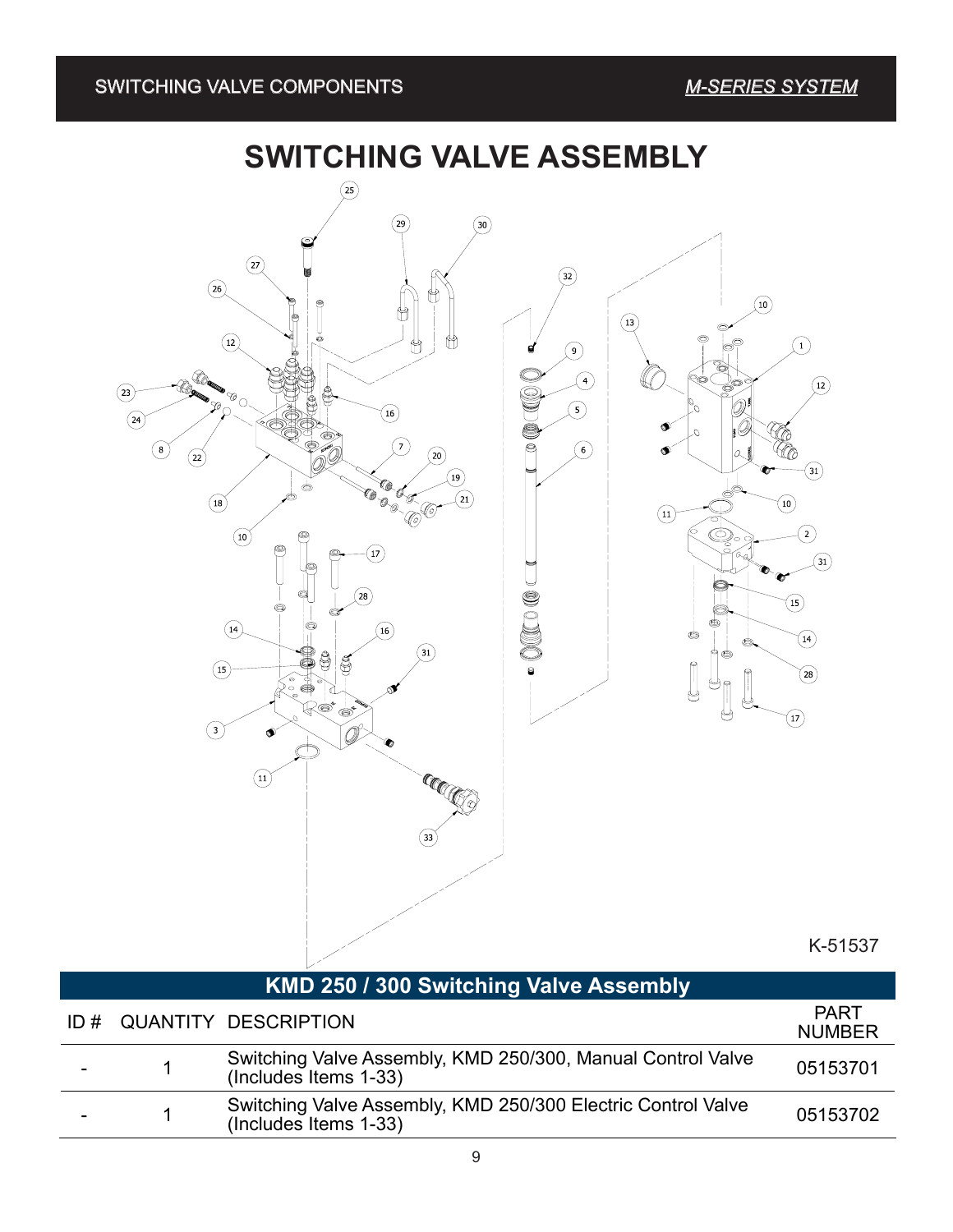### SWITCHING VALVE COMPONENTS



| ID # | QUANTITY DESCRIPTION                                                                  | <b>PART</b><br><b>NUMBER</b> |
|------|---------------------------------------------------------------------------------------|------------------------------|
|      | Switching Valve Assembly, KMD 250/300, Manual Control Valve<br>(Includes Items 1-33)  | 05153701                     |
|      | Switching Valve Assembly, KMD 250/300 Electric Control Valve<br>(Includes Items 1-33) | 05153702                     |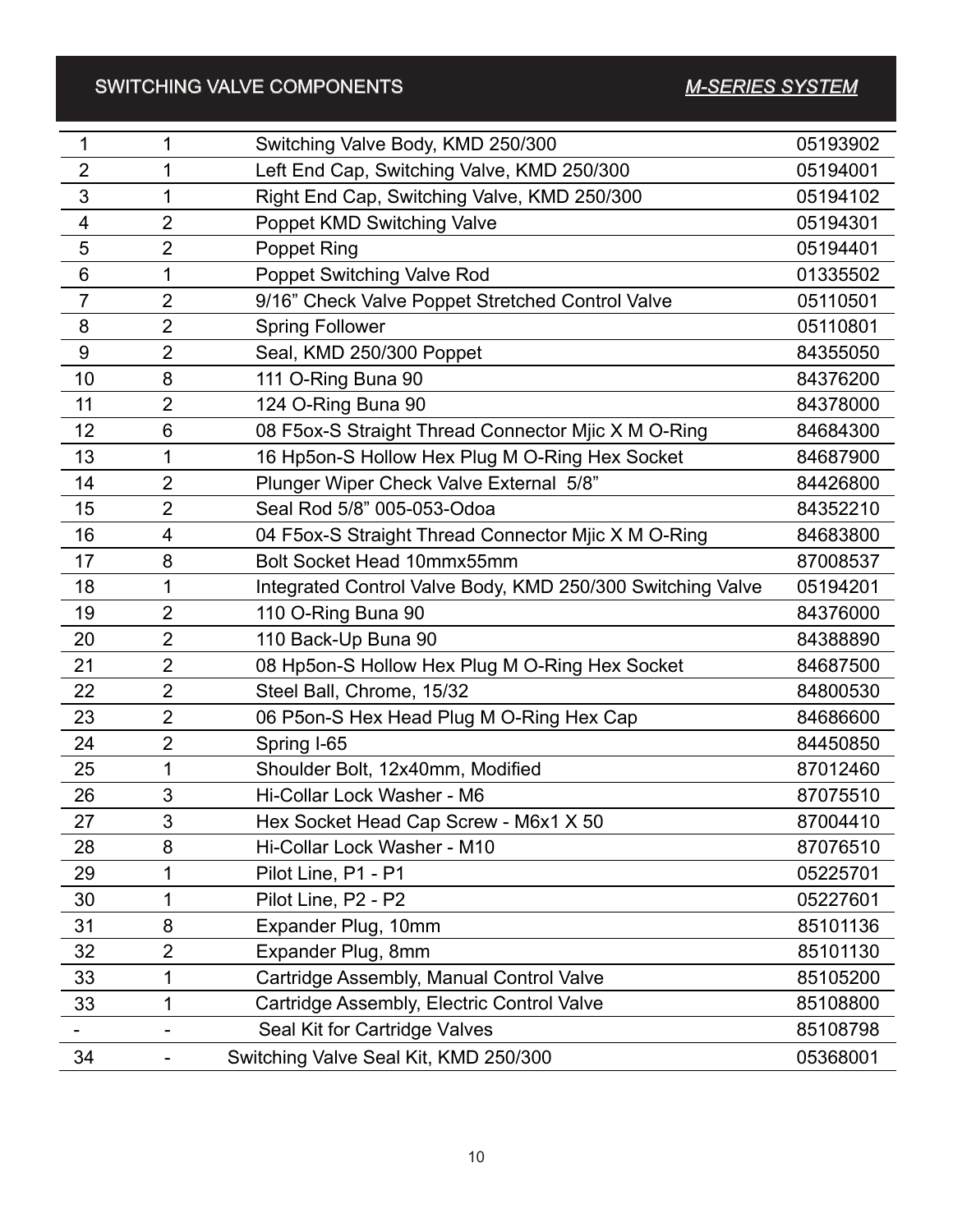### SWITCHING VALVE COMPONENTS

### *M-SERIES SYSTEM*

| 1              | 1              | Switching Valve Body, KMD 250/300                          | 05193902 |
|----------------|----------------|------------------------------------------------------------|----------|
| $\overline{2}$ | 1              | Left End Cap, Switching Valve, KMD 250/300                 | 05194001 |
| 3              | 1              | Right End Cap, Switching Valve, KMD 250/300                | 05194102 |
| 4              | $\overline{2}$ | Poppet KMD Switching Valve                                 | 05194301 |
| 5              | $\overline{2}$ | Poppet Ring                                                | 05194401 |
| 6              | 1              | Poppet Switching Valve Rod                                 | 01335502 |
| $\overline{7}$ | $\overline{2}$ | 9/16" Check Valve Poppet Stretched Control Valve           | 05110501 |
| 8              | $\overline{2}$ | <b>Spring Follower</b>                                     | 05110801 |
| 9              | $\overline{2}$ | Seal, KMD 250/300 Poppet                                   | 84355050 |
| 10             | 8              | 111 O-Ring Buna 90                                         | 84376200 |
| 11             | $\overline{2}$ | 124 O-Ring Buna 90                                         | 84378000 |
| 12             | 6              | 08 F5ox-S Straight Thread Connector Mjic X M O-Ring        | 84684300 |
| 13             | 1              | 16 Hp5on-S Hollow Hex Plug M O-Ring Hex Socket             | 84687900 |
| 14             | $\overline{2}$ | Plunger Wiper Check Valve External 5/8"                    | 84426800 |
| 15             | $\overline{2}$ | Seal Rod 5/8" 005-053-Odoa                                 | 84352210 |
| 16             | 4              | 04 F5ox-S Straight Thread Connector Mijc X M O-Ring        | 84683800 |
| 17             | 8              | Bolt Socket Head 10mmx55mm                                 | 87008537 |
| 18             | 1              | Integrated Control Valve Body, KMD 250/300 Switching Valve | 05194201 |
| 19             | $\overline{2}$ | 110 O-Ring Buna 90                                         | 84376000 |
| 20             | $\overline{2}$ | 110 Back-Up Buna 90                                        | 84388890 |
| 21             | $\overline{2}$ | 08 Hp5on-S Hollow Hex Plug M O-Ring Hex Socket             | 84687500 |
| 22             | $\overline{2}$ | Steel Ball, Chrome, 15/32                                  | 84800530 |
| 23             | $\overline{2}$ | 06 P5on-S Hex Head Plug M O-Ring Hex Cap                   | 84686600 |
| 24             | $\overline{2}$ | Spring I-65                                                | 84450850 |
| 25             | 1              | Shoulder Bolt, 12x40mm, Modified                           | 87012460 |
| 26             | 3              | Hi-Collar Lock Washer - M6                                 | 87075510 |
| 27             | 3              | Hex Socket Head Cap Screw - M6x1 X 50                      | 87004410 |
| 28             | 8              | Hi-Collar Lock Washer - M10                                | 87076510 |
| 29             | 1              | Pilot Line, P1 - P1                                        | 05225701 |
| 30             | 1              | Pilot Line, P2 - P2                                        | 05227601 |
| 31             | 8              | Expander Plug, 10mm                                        | 85101136 |
| 32             | 2              | Expander Plug, 8mm                                         | 85101130 |
| 33             | 1              | Cartridge Assembly, Manual Control Valve                   | 85105200 |
| 33             | 1              | Cartridge Assembly, Electric Control Valve                 | 85108800 |
|                |                | Seal Kit for Cartridge Valves                              | 85108798 |
| 34             |                | Switching Valve Seal Kit, KMD 250/300                      | 05368001 |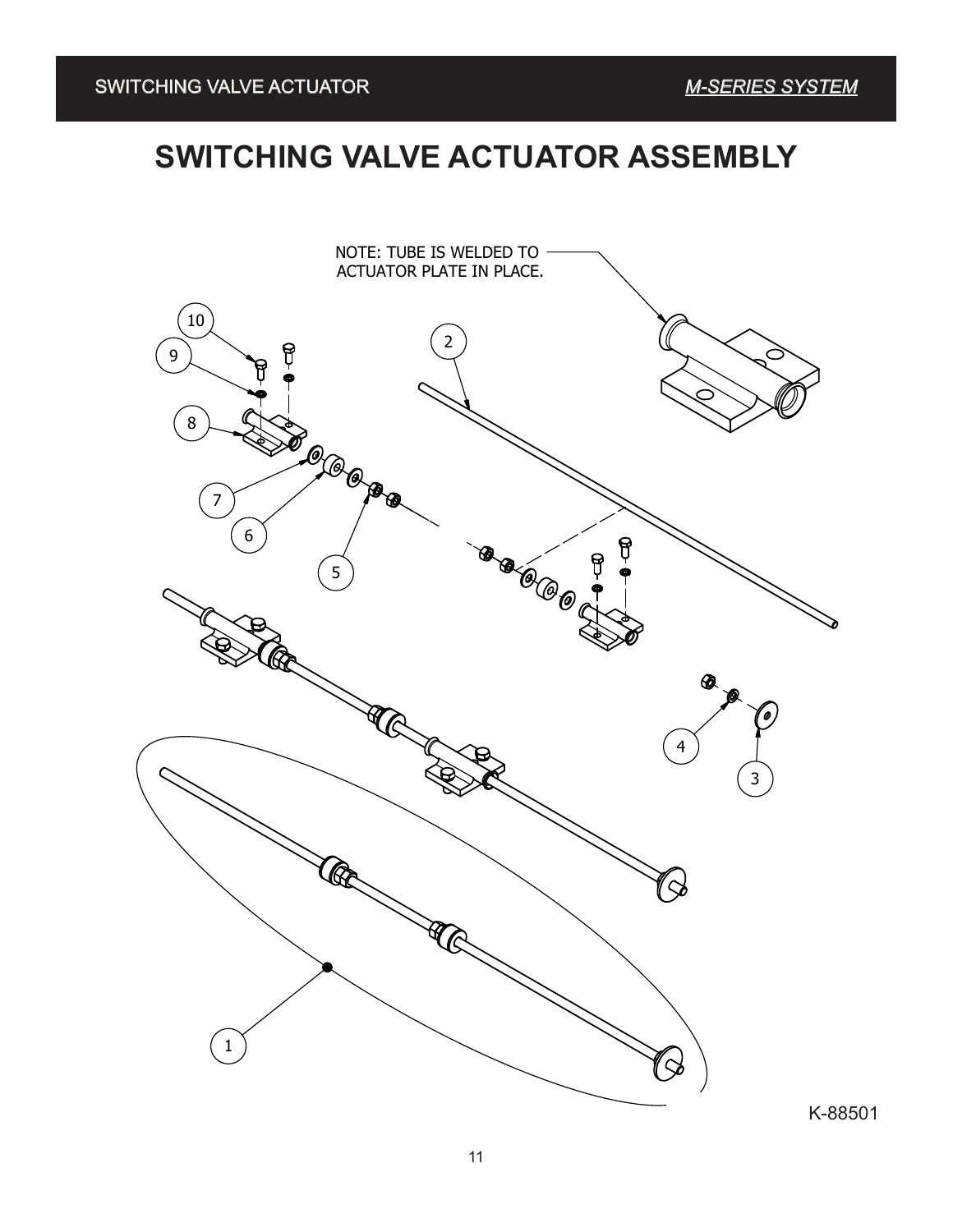### SWITCHING VALVE ACTUATOR ASSEMBLY **SWITCHING VALVE ACTUATOR ASSEMBLY**

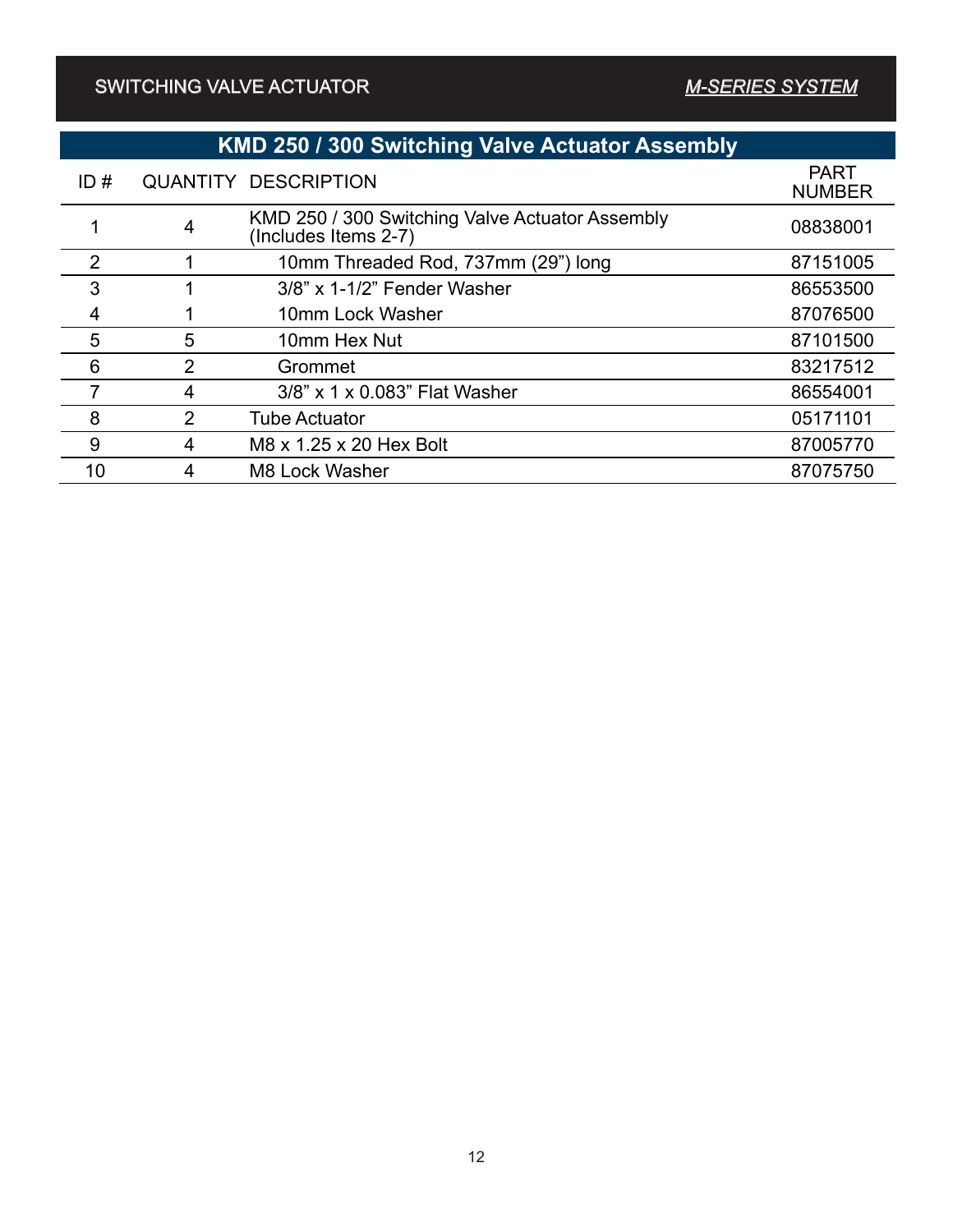#### SWITCHING VALVE ACTUATOR

| <b>KMD 250 / 300 Switching Valve Actuator Assembly</b> |   |                                                                         |                              |
|--------------------------------------------------------|---|-------------------------------------------------------------------------|------------------------------|
| ID#                                                    |   | <b>QUANTITY DESCRIPTION</b>                                             | <b>PART</b><br><b>NUMBER</b> |
|                                                        | 4 | KMD 250 / 300 Switching Valve Actuator Assembly<br>(Includes Items 2-7) | 08838001                     |
| $\overline{2}$                                         |   | 10mm Threaded Rod, 737mm (29") long                                     | 87151005                     |
| 3                                                      |   | $3/8$ " x 1-1/2" Fender Washer                                          | 86553500                     |
| 4                                                      |   | 10mm Lock Washer                                                        | 87076500                     |
| 5                                                      | 5 | 10mm Hex Nut                                                            | 87101500                     |
| 6                                                      | 2 | Grommet                                                                 | 83217512                     |
|                                                        | 4 | 3/8" x 1 x 0.083" Flat Washer                                           | 86554001                     |
| 8                                                      | 2 | <b>Tube Actuator</b>                                                    | 05171101                     |
| 9                                                      | 4 | M8 x 1.25 x 20 Hex Bolt                                                 | 87005770                     |
| 10                                                     |   | M8 Lock Washer                                                          | 87075750                     |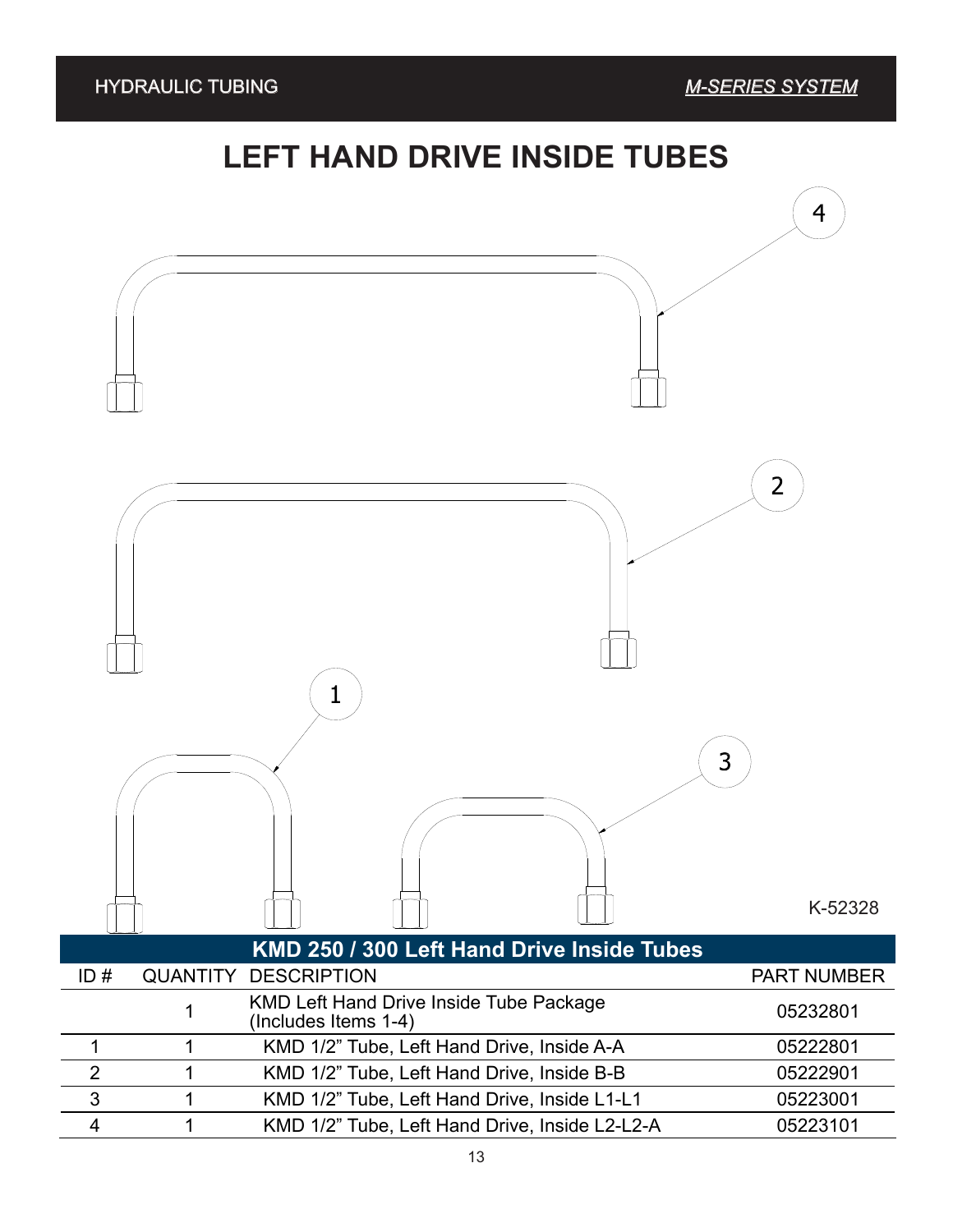## **LEFT HAND DRIVE INSIDE TUBES**

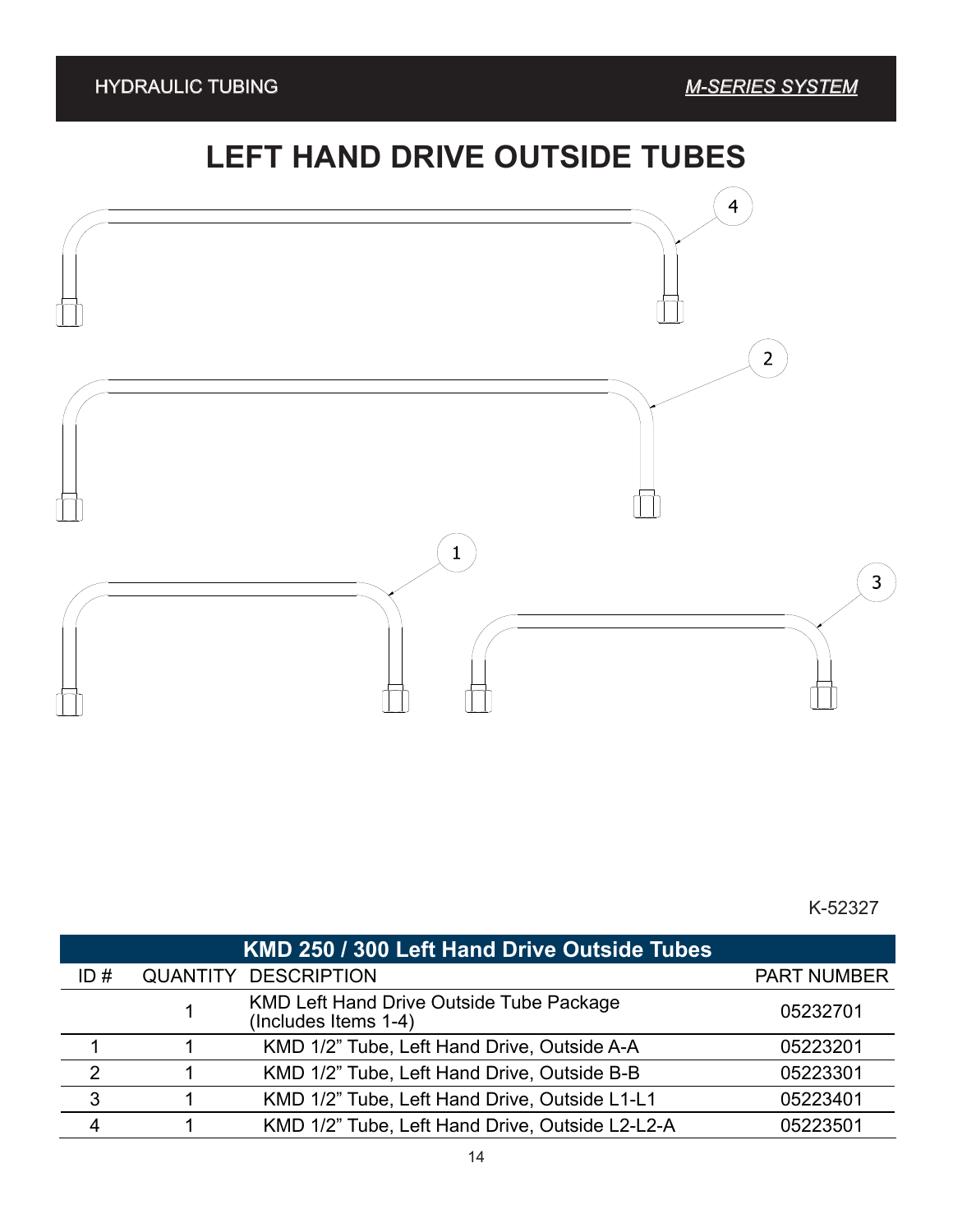# **LEFT HAND DRIVE OUTSIDE TUBES**



|               | KMD 250 / 300 Left Hand Drive Outside Tubes                      |                    |
|---------------|------------------------------------------------------------------|--------------------|
| ID#           | <b>QUANTITY DESCRIPTION</b>                                      | <b>PART NUMBER</b> |
|               | KMD Left Hand Drive Outside Tube Package<br>(Includes Items 1-4) | 05232701           |
|               | KMD 1/2" Tube, Left Hand Drive, Outside A-A                      | 05223201           |
| $\mathcal{P}$ | KMD 1/2" Tube, Left Hand Drive, Outside B-B                      | 05223301           |
| 3             | KMD 1/2" Tube, Left Hand Drive, Outside L1-L1                    | 05223401           |
|               | KMD 1/2" Tube, Left Hand Drive, Outside L2-L2-A                  | 05223501           |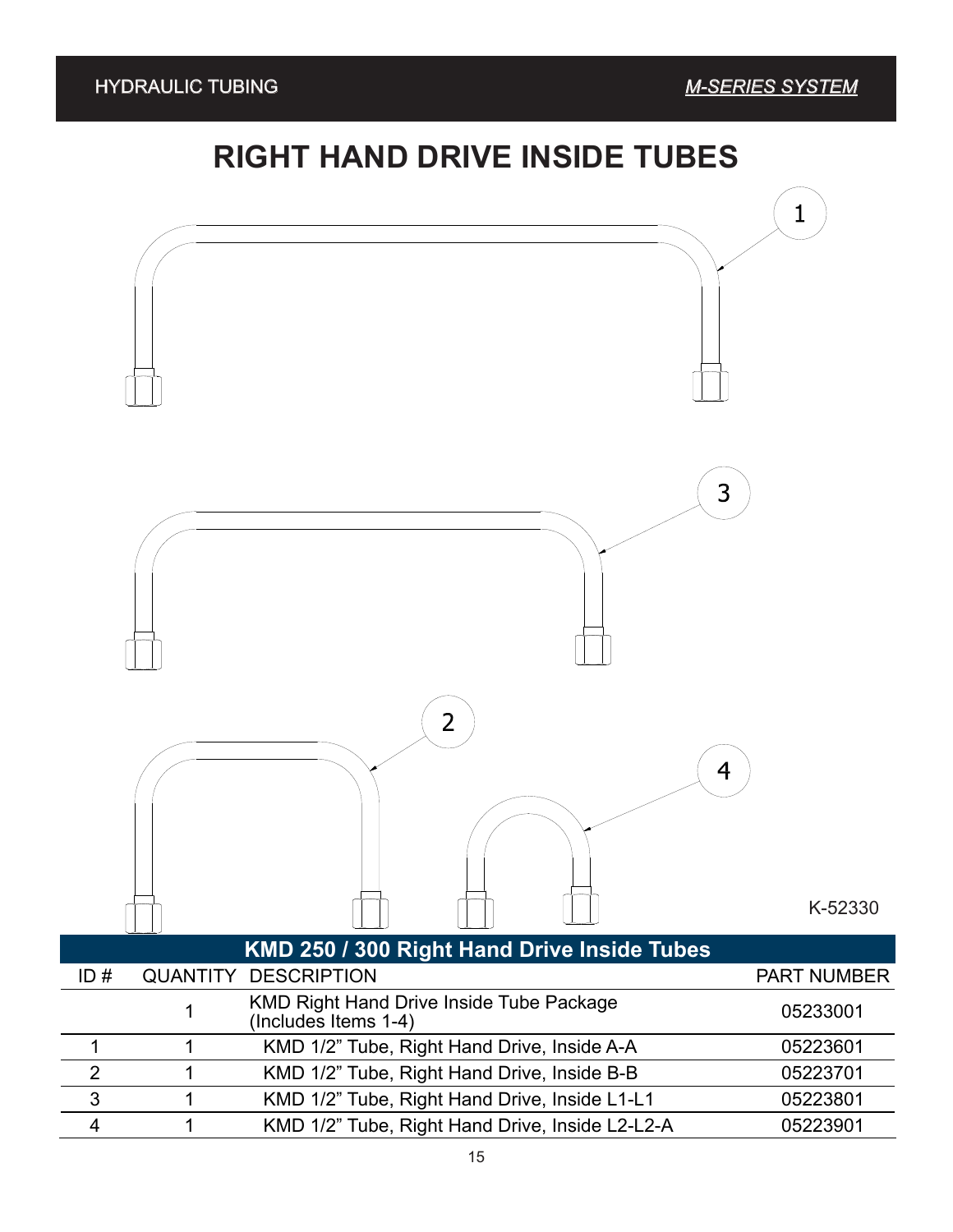## **RIGHT HAND DRIVE INSIDE TUBES**